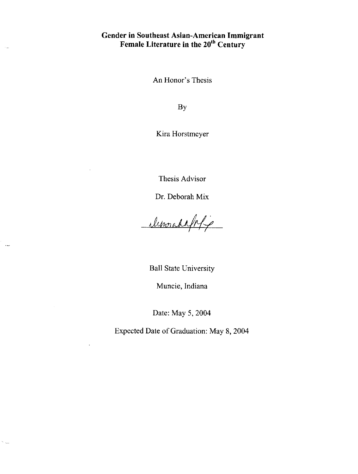# **Gender in Southeast Asian-American Immigrant Female Literature in the 20th Century**

 $\mathbb{R}^2$ 

 $\zeta_{\rm max}$ 

**An** Honor's Thesis

By

Kira Horstmeyer

Thesis Advisor

Dr. Deborah Mix

demondalphi

Ball State University

Muncie, Indiana

Date: May 5, 2004

Expected Date of Graduation: May 8, 2004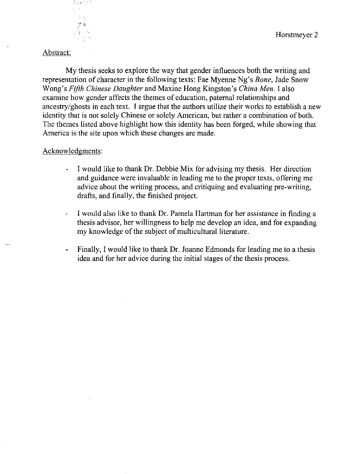# Abstract:

 $l$  ,resp.

 $\frac{74}{16}$ 

k B

My thesis seeks to explore the way that gender influences both the writing and representation of character in the following texts: Fae Myenne Ng's *Bone,* Jade Snow Wong's *Fifth Chinese Daughter* and Maxine Hong Kingston's *China Men.* I also examine how gender affects the themes of education, paternal relationships and ancestry/ghosts in each text. I argue that the authors utilize their works to establish a new identity that is not solely Chinese or solely American, but rather a combination of both. The themes listed above highlight how this identity has been forged, while showing that America is the site upon which these changes are made.

### Acknowledgments:

- I would like to thank Dr. Debbie Mix for advising my thesis. Her direction  $\omega$  . and guidance were invaluable in leading me to the proper texts, offering me advice about the writing process, and critiquing and evaluating pre-writing, drafts, and finally, the finished project.
- I would also like to thank Dr. Pamela Hartman for her assistance in finding a  $\omega$ thesis advisor, her willingness to help me develop an idea, and for expanding my knowledge of the subject of multicultural literature.
- Finally, I would like to thank Dr. Joanne Edmonds for leading me to a thesis  $\overline{\phantom{a}}$ idea and for her advice during the initial stages of the thesis process.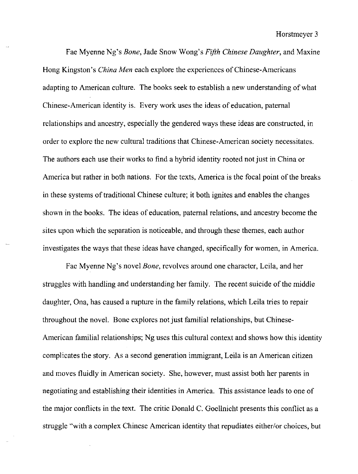Fae Myenne Ng's *Bone,* Jade Snow Wong's *Fifth Chinese Daughter,* and Maxine Hong Kingston's *China Men* each explore the experiences of Chinese-Americans adapting to American culture. The books seek to establish a new understanding of what Chinese-American identity is. Every work uses the ideas of education, paternal relationships and ancestry, especially the gendered ways these ideas are constructed, in order to explore the new cultural traditions that Chinese-American society necessitates. The authors each use their works to find a hybrid identity rooted not just in China or America but rather in both nations. For the texts, America is the focal point of the breaks in these systems of traditional Chinese culture; it both ignites and enables the changes shown in the books. The ideas of education, paternal relations, and ancestry become the sites upon which the separation is noticeable, and through these themes, each author investigates the ways that these ideas have changed, specifically for women, in America.

Fae Myenne Ng's novel *Bone,* revolves around one character, Leila, and her struggles with handling and understanding her family. The recent suicide of the middle daughter, Ona, has caused a rupture in the family relations, which Leila tries to repair throughout the novel. Bone explores not just familial relationships, but Chinese-American familial relationships; Ng uses this cultural context and shows how this identity complicates the story. As a second generation immigrant, Leila is an American citizen and moves fluidly in American society. She, however, must assist both her parents in negotiating and establishing their identities in America. This assistance leads to one of the major conflicts in the text. The critic Donald C. Goellnicht presents this conflict as a struggle "with a complex Chinese American identity that repudiates either/or choices, but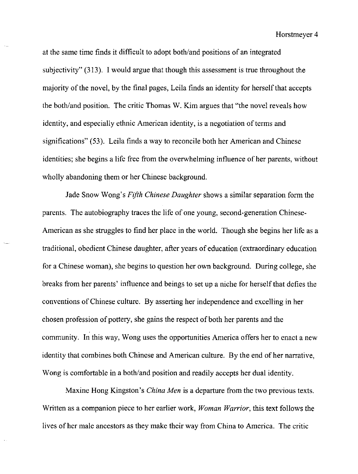at the same time finds it difficult to adopt both/and positions of an integrated subjectivity" (313). I would argue that though this assessment is true throughout the majority of the novel, by the final pages, Leila finds an identity for herself that accepts the both/and position. The critic Thomas W. Kim argues that "the novel reveals how identity, and especially ethnic American identity, is a negotiation of terms and significations" (53). Leila finds a way to reconcile both her American and Chinese identities; she begins a life free from the overwhelming influence of her parents, without wholly abandoning them or her Chinese background.

Jade Snow Wong's *Fifth Chinese Daughter* shows a similar separation form the parents. The autobiography traces the life of one young, second-generation Chinese-American as she struggles to find her place in the world. Though she begins her life as a traditional, obedient Chinese daughter, after years of education (extraordinary education for a Chinese woman), she begins to question her own background. During college, she breaks from her parents' influence and beings to set up a niche for herself that defies the conventions of Chinese culture. By asserting her independence and excelling in her chosen profession of pottery, she gains the respect of both her parents and the community. **In** this way, Wong uses the opportunities America offers her to enact a new identity that combines both Chinese and American culture. By the end of her narrative, Wong is comfortable in a both/and position and readily accepts her dual identity.

Maxine Hong Kingston's *China Men* is a departure from the two previous texts. Written as a companion piece to her earlier work, *Woman Warrior,* this text follows the lives of her male ancestors as they make their way from China to America. The critic

 $\sim$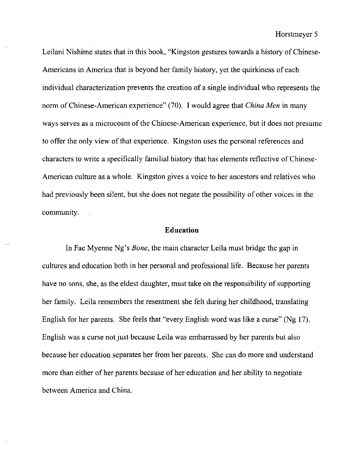Leilani Nishime states that in this book, "Kingston gestures towards a history of Chinese-Americans in America that is beyond her family history, yet the quirkiness of each individual characterization prevents the creation of a single individual who represents the norm of Chinese-American experience" (70). I would agree that *China Men* in many ways serves as a microcosm of the Chinese-American experience, but it does not presume to offer the only view of that experience. Kingston uses the personal references and characters to write a specifically familial history that has elements reflective of Chinese-American culture as a whole. Kingston gives a voice to her ancestors and relatives who had previously been silent, but she does not negate the possibility of other voices in the community.

# **Education**

**In** Fae Myenne Ng's *Bone,* the main character Leila must bridge the gap in cultures and education both in her personal and professional life. Because her parents have no sons, she, as the eldest daughter, must take on the responsibility of supporting her family. Leila remembers the resentment she felt during her childhood, translating English for her parents. She feels that "every English word was like a curse" (Ng 17). English was a curse not just because Leila was embarrassed by her parents but also because her education separates her from her parents. She can do more and understand more than either of her parents because of her education and her ability to negotiate between America and China.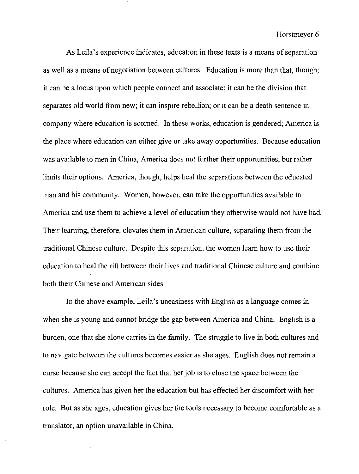As Leila's experience indicates, education in these texts is a means of separation as well as a means of negotiation between cultures. Education is more than that, though; it can be a locus upon which people connect and associate; it can be the division that separates old world from new; it can inspire rebellion; or it can be a death sentence in company where education is scorned. **In** these works, education is gendered; America is the place where education can either give or take away opportunities. Because education was available to men in China, America does not further their opportunities, but rather limits their options. America, though, helps heal the separations between the educated man and his community. Women, however, can take the opportunities available in America and use them to achieve a level of education they otherwise would not have had. Their learning, therefore, elevates them in American culture, separating them from the traditional Chinese culture. Despite this separation, the women learn how to use their education to heal the rift between their lives and traditional Chinese culture and combine both their Chinese and American sides.

In the above example, Leila's uneasiness with English as a language comes in when she is young and cannot bridge the gap between America and China. English is a burden, one that she alone carries in the family. The struggle to live in both cultures and to navigate between the cultures becomes easier as she ages. English does not remain a curse because she can accept the fact that her job is to close the space between the cultures. America has given her the education but has effected her discomfort with her role. But as she ages, education gives her the tools necessary to become comfortable as a translator, an option unavailable in China.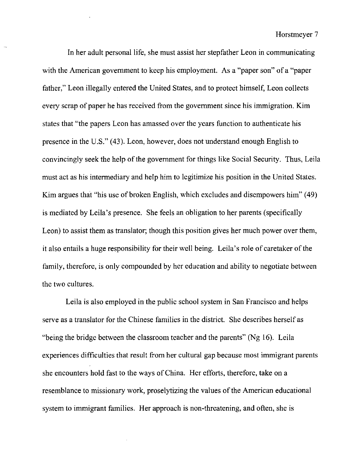In her adult personal life, she must assist her stepfather Leon in communicating with the American government to keep his employment. As a "paper son" of a "paper father," Leon illegally entered the United States, and to protect himself, Leon collects every scrap of paper he has received from the government since his immigration. Kim states that "the papers Leon has amassed over the years function to authenticate his presence in the U.S." (43). Leon, however, does not understand enough English to convincingly seek the help of the government for things like Social Security. Thus, Leila must act as his intermediary and help him to legitimize his position in the United States. Kim argues that "his use of broken English, which excludes and disempowers him" (49) is mediated by Leila's presence. She feels an obligation to her parents (specifically Leon) to assist them as translator; though this position gives her much power over them, it also entails a huge responsibility for their well being. Leila's role of caretaker of the family, therefore, is only compounded by her education and ability to negotiate between the two cultures.

Leila is also employed in the public school system in San Francisco and helps serve as a translator for the Chinese families in the district. She describes herself as "being the bridge between the classroom teacher and the parents" (Ng 16). Leila experiences difficulties that result from her cultural gap because most immigrant parents she encounters hold fast to the ways of China. Her efforts, therefore, take on a resemblance to missionary work, proselytizing the values of the American educational system to immigrant families. Her approach is non-threatening, and often, she is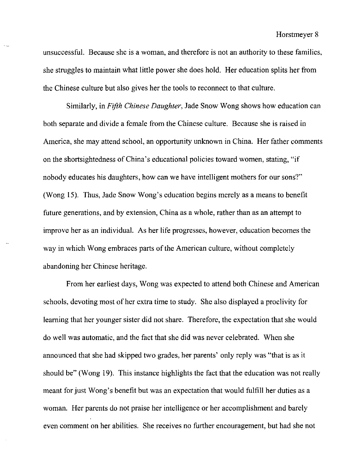unsuccessful. Because she is a woman, and therefore is not an authority to these families, she struggles to maintain what little power she does hold. Her education splits her from the Chinese culture but also gives her the tools to reconnect to that culture.

 $\sim 10^{-1}$ 

Similarly, in *Fifth Chinese Daughter,* Jade Snow Wong shows how education can both separate and divide a female from the Chinese culture. Because she is raised in America, she may attend school, an opportunity unknown in China. Her father comments on the shortsightedness of China's educational policies toward women, stating, "if nobody educates his daughters, how can we have intelligent mothers for our sons?" (Wong 15). Thus, Jade Snow Wong's education begins merely as a means to benefit future generations, and by extension, China as a whole, rather than as an attempt to improve her as an individual. As her life progresses, however, education becomes the way in which Wong embraces parts of the American culture, without completely abandoning her Chinese heritage.

From her earliest days, Wong was expected to attend both Chinese and American schools, devoting most of her extra time to study. She also displayed a proclivity for learning that her younger sister did not share. Therefore, the expectation that she would do well was automatic, and the fact that she did was never celebrated. When she announced that she had skipped two grades, her parents' only reply was "that is as it should be" (Wong 19). This instance highlights the fact that the education was not really meant for just Wong's benefit but was an expectation that would fulfill her duties as a woman. Her parents do not praise her intelligence or her accomplishment and barely even comment on her abilities. She receives no further encouragement, but had she not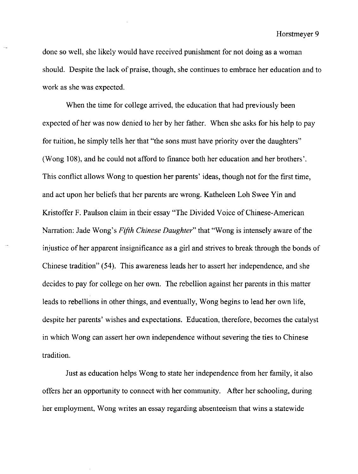done so well, she likely would have received punishment for not doing as a woman should. Despite the lack of praise, though, she continues to embrace her education and to work as she was expected.

When the time for college arrived, the education that had previously been expected ofhet was now denied to her by her father. When she asks for his help to pay for tuition, he simply tells her that "the sons must have priority over the daughters" (Wong 108), and he could not afford to finance both her education and her brothers'. This conflict allows Wong to question her parents' ideas, though not for the first time, and act upon her beliefs that her parents are wrong. Katheleen Loh Swee Yin and Kristoffer F. Paulson claim in their essay "The Divided Voice of Chinese-American Narration: Jade Wong's *Fifth Chinese Daughter"* that "Wong is intensely aware of the injustice of her apparent insignificance as a girl and strives to break through the bonds of Chinese tradition" (54). This awareness leads her to assert her independence, and she decides to pay for college on her own. The rebellion against her parents in this matter leads to rebellions in other things, and eventually, Wong begins to lead her own life, despite her parents' wishes and expectations. Education, therefore, becomes the catalyst in which Wong can assert her own independence without severing the ties to Chinese tradition.

Just as education helps Wong to state her independence from her family, it also offers her an opportunity to connect with her community. After her schooling, during her employment, Wong writes an essay regarding absenteeism that wins a statewide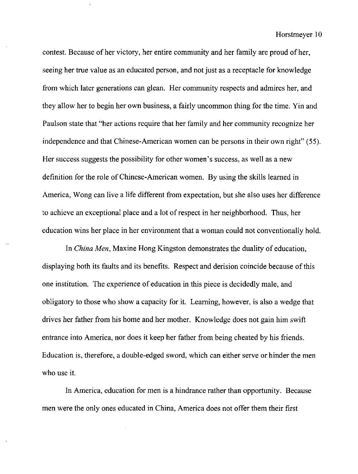contest. Because of her victory, her entire community and her family are proud of her, seeing her true value as an educated person, and not just as a receptacle for knowledge from which later generations can glean. Her community respects and admires her, and they allow her to begin her own business, a fairly uncommon thing for the time. Yin and Paulson state that "her actions require that her family and her community recognize her independence and that Chinese-American women can be persons in their own right" (55). Her success suggests the possibility for other women's success, as well as a new definition for the role of Chinese-American women. By using the skills learned in America, Wong can live a life different from expectation, but she also uses her difference to achieve an exceptional place and a lot of respect in her neighborhood. Thus, her education wins her place in her environment that a woman could not conventionally hold.

In *China Men,* Maxine Hong Kingston demonstrates the duality of education, displaying both its faults and its benefits. Respect and derision coincide because of this one institution. The experience of education in this piece is decidedly male, and obligatory to those who show a capacity for it. Learning, however, is also a wedge that drives her father from his home and her mother. Knowledge does not gain him swift entrance into America, nor does it keep her father from being cheated by his friends. Education is, therefore, a double-edged sword, which can either serve or hinder the men who use it.

In America, education for men is a hindrance rather than opportunity. Because men were the only ones educated in China, America does not offer them their first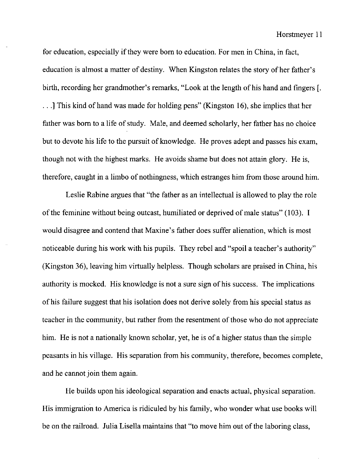for education, especially if they were born to education. For men in China, in fact, education is almost a matter of destiny. When Kingston relates the story of her father's birth, recording her grandmother's remarks, "Look at the length of his hand and fingers [ . ...] This kind of hand was made for holding pens" (Kingston 16), she implies that her father was born to a life of study. Male, and deemed scholarly, her father has no choice but to devote his life to the pursuit of knowledge. He proves adept and passes his exam, though not with the highest marks. He avoids shame but does not attain glory. He is, therefore, caught in a limbo of nothingness, which estranges him from those around him.

Leslie Rabine argues that "the father as an intellectual is allowed to play the role of the feminine without being outcast, humiliated or deprived of male status" (103). I would disagree and contend that Maxine's father does suffer alienation, which is most noticeable during his work with his pupils. They rebel and "spoil a teacher's authority" (Kingston 36), leaving him virtually helpless. Though scholars are praised in China, his authority is mocked. His knowledge is not a sure sign of his success. The implications of his failure suggest that his isolation does not derive solely from his special status as teacher in the community, but rather from the resentment of those who do not appreciate him. He is not a nationally known scholar, yet, he is of a higher status than the simple peasants in his village. His separation from his community, therefore, becomes complete, and he cannot join them again.

He builds upon his ideological separation and enacts actual, physical separation. His immigration to America is ridiculed by his family, who wonder what use books will be on the railroad. Julia Lisella maintains that "to move him out of the laboring class,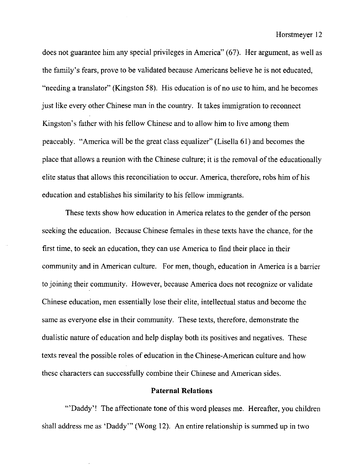does not guarantee him any special privileges in America" (67). Her argument, as well as the family's fears, prove to be validated because Americans believe he is not educated, "needing a translator" (Kingston 58). His education is of no use to him, and he becomes just like every other Chinese man in the country. It takes immigration to reconnect Kingston's father with his fellow Chinese and to allow him to live among them peaceably. "America will be the great class equalizer" (Lisella 61) and becomes the place that allows a reunion with the Chinese culture; it is the removal of the educationally elite status that allows this reconciliation to occur. America, therefore, robs him of his education and establishes his similarity to his fellow immigrants.

These texts show how education in America relates to the gender of the person seeking the education. Because Chinese females in these texts have the chance, for the first time, to seek an education, they can use America to find their place in their community and in American culture. For men, though, education in America is a barrier to joining their community. However, because America does not recognize or validate Chinese education, men essentially lose their elite, intellectual status and become the same as everyone else in their community. These texts, therefore, demonstrate the dualistic nature of education and help display both its positives and negatives. These texts reveal the possible roles of education in the Chinese-American culture and how these characters can successfully combine their Chinese and American sides.

#### **Paternal Relations**

"'Daddy'! The affectionate tone of this word pleases me. Hereafter, you children shall address me as 'Daddy'" (Wong 12). An entire relationship is summed up in two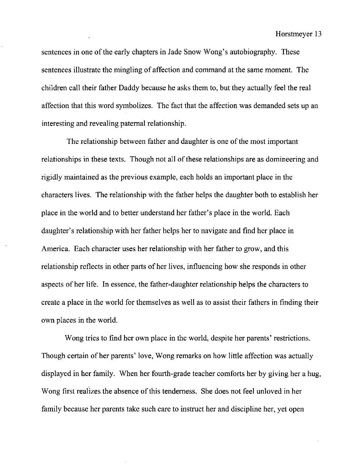sentences in one of the early chapters in Jade Snow Wong's autobiography. These sentences illustrate the mingling of affection and command at the same moment. The children call their father Daddy because he asks them to, but they actually feel the real affection that this word symbolizes. The fact that the affection was demanded sets up an interesting and revealing paternal relationship.

The relationship between father and daughter is one of the most important relationships in these texts. Though not all of these relationships are as domineering and rigidly maintained as the previous example, each holds an important place in the characters lives. The relationship with the father helps the daughter both to establish her place in the world and to better understand her father's place in the world. Each daughter's relationship with her father helps her to navigate and find her place in America. Each character uses her relationship with her father to grow, and this relationship reflects in other parts of her lives, influencing how she responds in other aspects of her life. In essence, the father-daughter relationship helps the characters to create a place in the world for themselves as well as to assist their fathers in finding their own places in the world.

Wong tries to find her own place in the world, despite her parents' restrictions. Though certain of her parents' love, Wong remarks on how little affection was actually displayed in her family. When her fourth-grade teacher comforts her by giving her a hug, Wong first realizes the absence of this tenderness. She does not feel unloved in her family because her parents take such care to instruct her and discipline her, yet open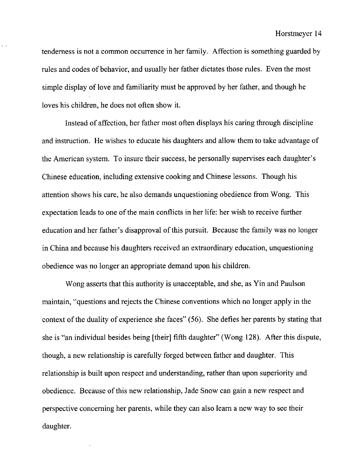tenderness is not a common occurrence in her family. Affection is something guarded by rules and codes of behavior, and usually her father dictates those rules. Even the most simple display of love and familiarity must be approved by her father, and though he loves his children, he does not often show it.

 $=$  .

Instead of affection, her father most often displays his caring through discipline and instruction. He wishes to educate his daughters and allow them to take advantage of the American system. To insure their success, he personally supervises each daughter's Chinese education, including extensive cooking and Chinese lessons. Though his attention shows his care, he also demands unquestioning obedience from Wong. This expectation leads to one of the main conflicts in her life: her wish to receive further education and her father's disapproval of this pursuit. Because the family was no longer in China and because his daughters received an extraordinary education, unquestioning obedience was no longer an appropriate demand upon his children.

Wong asserts that this authority is unacceptable, and she, as Yin and Paulson maintain, "questions and rejects the Chinese conventions which no longer apply in the context of the duality of experience she faces" (56). She defies her parents by stating that she is "an individual besides being [their] fifth daughter" (Wong 128). After this dispute, though, a new relationship is carefully forged between father and daughter. This relationship is built upon respect and understanding, rather than upon superiority and obedience. Because of this new relationship, Jade Snow can gain a new respect and perspective concerning her parents, while they can also learn a new way to see their daughter.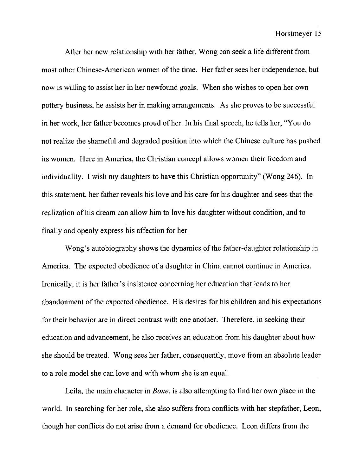After her new relationship with her father, Wong can seek a life different from most other Chinese-American women of the time. Her father sees her independence, but now is willing to assist her in her newfound goals. When she wishes to open her own pottery business, he assists her in making arrangements. As she proves to be successful in her work, her father becomes proud of her. In his final speech, he tells her, "You do not realize the shameful and degraded position into which the Chinese culture has pushed its women. Here in America, the Christian concept allows women their freedom and individuality. I wish my daughters to have this Christian opportunity" (Wong 246). In this statement, her father reveals his love and his care for his daughter and sees that the realization of his dream can allow him to love his daughter without condition, and to finally and openly express his affection for her.

Wong's autobiography shows the dynamics of the father-daughter relationship in America. The expected obedience of a daughter in China cannot continue in America. Ironically, it is her father's insistence concerning her education that leads to her abandonment of the expected obedience. His desires for his children and his expectations for their behavior are in direct contrast with one another. Therefore, in seeking their education and advancement, he also receives an education from his daughter about how she should be treated. Wong sees her father, consequently, move from an absolute leader to a role model she can love and with whom she is an equal.

Leila, the main character in *Bone,* is also attempting to find her own place in the world. **In** searching for her role, she also suffers from conflicts with her stepfather, Leon, though her conflicts do not arise from a demand for obedience. Leon differs from the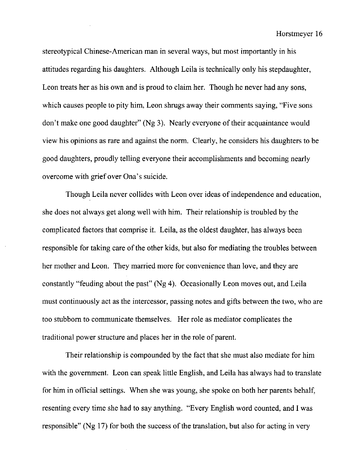stereotypical Chinese-American man in several ways, but most importantly in his attitudes regarding his daughters. Although Leila is technically only his stepdaughter, Leon treats her as his own and is proud to claim her. Though he never had any sons, which causes people to pity him, Leon shrugs away their comments saying, "Five sons" don't make one good daughter" (Ng 3). Nearly everyone of their acquaintance would view his opinions as rare and against the norm. Clearly, he considers his daughters to be good daughters, proudly telling everyone their accomplishments and becoming nearly overcome with grief over Ona's suicide.

Though Leila never collides with Leon over ideas of independence and education, she does not always get along well with him. Their relationship is troubled by the complicated factors that comprise it. Leila, as the oldest daughter, has always been responsible for taking care of the other kids, but also for mediating the troubles between her mother and Leon. They married more for convenience than love, and they are constantly "feuding about the past" (Ng 4). Occasionally Leon moves out, and Leila must continuously act as the intercessor, passing notes and gifts between the two, who are too stubborn to communicate themselves. Her role as mediator complicates the traditional power structure and places her in the role of parent.

Their relationship is compounded by the fact that she must also mediate for him with the government. Leon can speak little English, and Leila has always had to translate for him in official settings. When she was young, she spoke on both her parents behalf, resenting every time she had to say anything. "Every English word counted, and I was responsible" (Ng 17) for both the success of the translation, but also for acting in very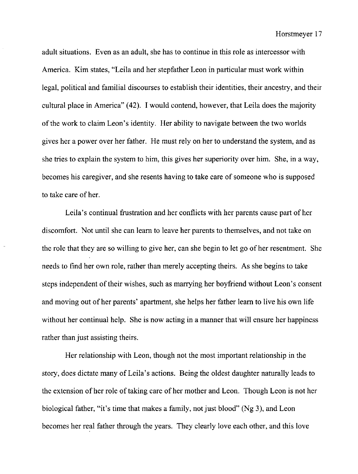adult situations. Even as an adult, she has to continue in this role as intercessor with America. Kim states, "Leila and her stepfather Leon in particular must work within legal, political and familial discourses to establish their identities, their ancestry, and their cultural place in America" (42). I would contend, however, that Leila does the majority of the work to claim Leon's identity. Her ability to navigate between the two worlds gives her a power over her father. He must rely on her to understand the system, and as she tries to explain the system to him, this gives her superiority over him. She, in a way, becomes his caregiver, and she resents having to take care of someone who is supposed to take care of her.

Leila's continual frustration and her conflicts with her parents cause part of her discomfort. Not until she can learn to leave her parents to themselves, and not take on the role that they are so willing to give her, can she begin to let go of her resentment. She needs to find her own role, rather than merely accepting theirs. As she begins to take steps independent of their wishes, such as marrying her boyfriend without Leon's consent and moving out of her parents' apartment, she helps her father learn to live his own life without her continual help. She is now acting in a manner that will ensure her happiness rather than just assisting theirs.

Her relationship with Leon, though not the most important relationship in the story, does dictate many of Leila's actions. Being the oldest daughter naturally leads to the extension of her role of taking care of her mother and Leon. Though Leon is not her biological father, "it's time that makes a family, not just blood" (Ng 3), and Leon becomes her real father through the years. They clearly love each other, and this love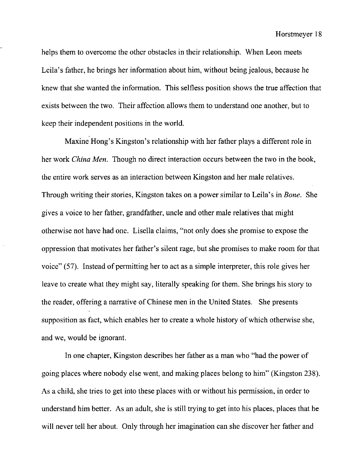helps them to overcome the other obstacles in their relationship. When Leon meets Leila's father, he brings her information about him, without being jealous, because he knew that she wanted the information. This selfless position shows the true affection that exists between the two. Their affection allows them to understand one another, but to keep their independent positions in the world.

Maxine Hong's Kingston's relationship with her father plays a different role in her work *China Men.* Though no direct interaction occurs between the two in the book, the entire work serves as an interaction between Kingston and her male relatives. Through writing their stories, Kingston takes on a power similar to Leila's in *Bone.* She gives a voice to her father, grandfather, uncle and other male relatives that might otherwise not have had one. Lisella claims, "not only does she promise to expose the oppression that motivates her father's silent rage, but she promises to make room for that voice" (57). Instead of permitting her to act as a simple interpreter, this role gives her leave to create what they might say, literally speaking for them. She brings his story to the reader, offering a narrative of Chinese men in the United States. She presents supposition as fact, which enables her to create a whole history of which otherwise she, and we, would be ignorant.

In one chapter, Kingston describes her father as a man who "had the power of going places where nobody else went, and making places belong to him" (Kingston 238). As a child, she tries to get into these places with or without his permission, in order to understand him better. As an adult, she is still trying to get into his places, places that he will never tell her about. Only through her imagination can she discover her father and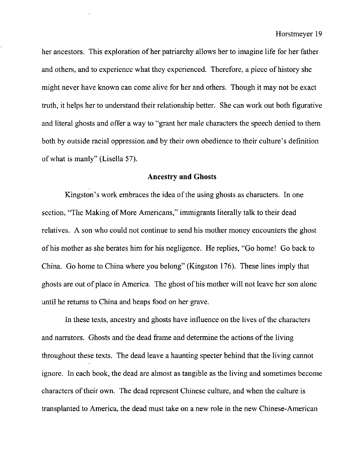her ancestors. This exploration of her patriarchy allows her to imagine life for her father and others, and to experience what they experienced. Therefore, a piece of history she might never have known can come alive for her and others. Though it may not be exact truth, it helps her to understand their relationship better. She can work out both figurative and literal ghosts and offer a way to "grant her male characters the speech denied to them both by outside racial oppression and by their own obedience to their culture's definition of what is manly" (Lisella 57).

# **Ancestry and Ghosts**

Kingston's work embraces the idea of the using ghosts as characters. In one section, "The Making of More Americans," immigrants literally talk to their dead relatives. A son who could not continue to send his mother money encounters the ghost of his mother as she berates him for his negligence. He replies, "Go home! Go back to China. Go home to China where you belong" (Kingston 176). These lines imply that ghosts are out of place in America. The ghost of his mother will not leave her son alone until he returns to China and heaps food on her grave.

In these texts, ancestry and ghosts have influence on the lives of the characters and narrators. Ghosts and the dead frame and determine the actions of the living throughout these texts. The dead leave a haunting specter behind that the living cannot ignore. In each book, the dead are almost as tangible as the living and sometimes become characters of their own. The dead represent Chinese culture, and when the culture is transplanted to America, the dead must take on a new role in the new Chinese-American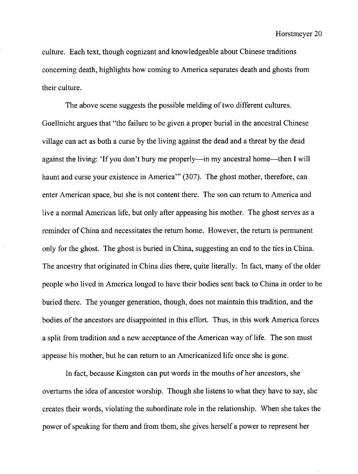culture. Each text, though cognizant and knowledgeable about Chinese traditions concerning death, highlights how coming to America separates death and ghosts from their culture.

The above scene suggests the possible melding of two different cultures. Goellnicht argues that "the failure to be given a proper burial in the ancestral Chinese village can act as both a curse by the living against the dead and a threat by the dead against the living: 'If you don't bury me properly—in my ancestral home—then I will haunt and curse your existence in America'" (307). The ghost mother, therefore, can enter American space, but she is not content there. The son can return to America and live a normal American life, but only after appeasing his mother. The ghost serves as a reminder of China and necessitates the return home. However, the return is permanent only for the ghost. The ghost is buried in China, suggesting an end to the ties in China. The ancestry that originated in China dies there, quite literally. **In** fact, many of the older people who lived in America longed to have their bodies sent back to China in order to be buried there. The younger generation, though, does not maintain this tradition, and the bodies of the ancestors are disappointed in this effort. Thus, in this work America forces a split from tradition and a new acceptance of the American way of life. The son must appease his mother, but he can return to an Americanized life once she is gone.

In fact, because Kingston can put words in the mouths of her ancestors, she overturns the idea of ancestor worship. Though she listens to what they have to say, she creates their words, violating the subordinate role in the relationship. When she takes the power of speaking for them and from them, she gives herself a power to represent her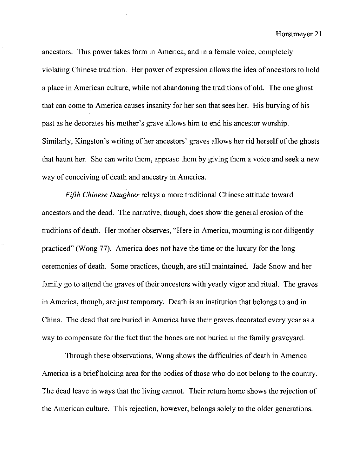ancestors. This power takes form in America, and in a female voice, completely violating Chinese tradition. Her power of expression allows the idea of ancestors to hold a place in American culture, while not abandoning the traditions of old. The one ghost that can come to America causes insanity for her son that sees her. His burying of his past as he decorates his mother's grave allows him to end his ancestor worship. Similarly, Kingston's writing of her ancestors' graves allows her rid herself of the ghosts that haunt her. She can write them, appease them by giving them a voice and seek a new way of conceiving of death and ancestry in America.

*Fifth Chinese Daughter* relays a more traditional Chinese attitude toward ancestors and the dead. The narrative, though, does show the general erosion of the traditions of death. Her mother observes, "Here in America, mourning is not diligently practiced" (Wong 77). America does not have the time or the luxury for the long ceremonies of death. Some practices, though, are still maintained. Jade Snow and her family go to attend the graves of their ancestors with yearly vigor and ritual. The graves in America, though, are just temporary. Death is an institution that belongs to and in China. The dead that are buried in America have their graves decorated every year as a way to compensate for the fact that the bones are not buried in the family graveyard.

Through these observations, Wong shows the difficulties of death in America. America is a brief holding area for the bodies of those who do not belong to the country. The dead leave in ways that the living cannot. Their return home shows the rejection of the American culture. This rejection, however, belongs solely to the older generations.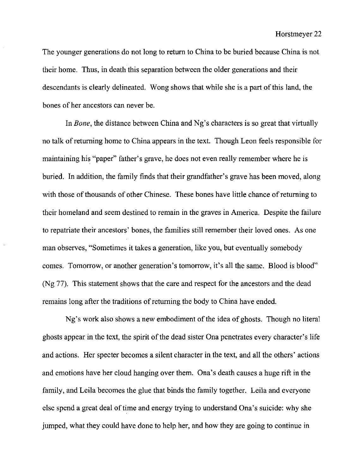The younger generations do not long to return to China to be buried because China is not their home. Thus, in death this separation between the older generations and their descendants is clearly delineated. Wong shows that while she is a part of this land, the bones of her ancestors can never be.

In *Bone,* the distance between China and Ng's characters is so great that virtually no talk of returning home to China appears in the text. Though Leon feels responsible for maintaining his "paper" father's grave, he does not even really remember where he is buried. In addition, the family finds that their grandfather's grave has been moved, along with those of thousands of other Chinese. These bones have little chance of returning to their homeland and seem destined to remain in the graves in America. Despite the failure to repatriate their ancestors' bones, the families still remember their loved ones. As one man observes, "Sometimes it takes a generation, like you, but eventually somebody comes. Tomorrow, or another generation's tomorrow, it's all the same. Blood is blood" (Ng 77). This statement shows that the care and respect for the ancestors and the dead remains long after the traditions of returning the body to China have ended.

Ng's work also shows a new embodiment of the idea of ghosts. Though no literal ghosts appear in the text, the spirit of the dead sister Qna penetrates every character's life and actions. Her specter becomes a silent character in the text, and all the others' actions and emotions have her cloud hanging over them. Ona's death causes a huge rift in the family, and Leila becomes the glue that binds the family together. Leila and everyone else spend a great deal of time and energy trying to understand Qna's suicide: why she jumped, what they could have done to help her, and how they are going to continue in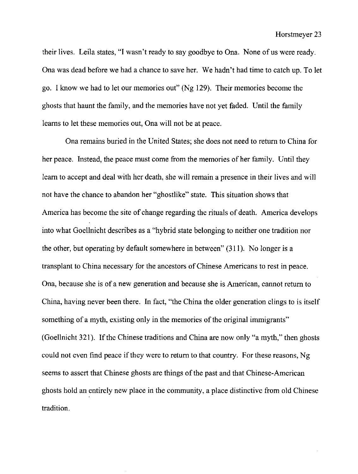their lives. Leila states, "I wasn't ready to say goodbye to Ona. None of us were ready. Ona was dead before we had a chance to save her. We hadn't had time to catch up. To let go. I know we had to let our memories out" (Ng 129). Their memories become the ghosts that haunt the family, and the memories have not yet faded. Until the family learns to let these memories out, Ona will not be at peace.

Ona remains buried in the United States; she does not need to return to China for her peace. Instead, the peace must come from the memories of her family. Until they learn to accept and deal with her death, she will remain a presence in their lives and will not have the chance to abandon her "ghostlike" state. This situation shows that America has become the site of change regarding the rituals of death. America develops into what Goellnicht describes as a "hybrid state belonging to neither one tradition nor the other, but operating by default somewhere in between" (311). No longer is a transplant to China necessary for the ancestors of Chinese Americans to rest in peace. Ona, because she is of a new generation and because she is American, cannot return to China, having never been there. **In** fact, "the China the older generation clings to is itself something of a myth, existing only in the memories of the original immigrants" (Goellnicht 321). If the Chinese traditions and China are now only "a myth," then ghosts could not even find peace if they were to return to that country. For these reasons, Ng seems to assert that Chinese ghosts are things of the past and that Chinese-American ghosts hold an entirely new place in the community, a place distinctive from old Chinese tradition.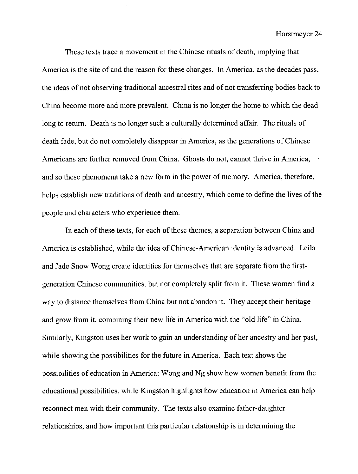These texts trace a movement in the Chinese rituals of death, implying that America is the site of and the reason for these changes. In America, as the decades pass, the ideas of not observing traditional ancestral rites and of not transferring bodies back to China become more and more prevalent. China is no longer the home to which the dead long to return. Death is no longer such a culturally determined affair. The rituals of death fade, but do not completely disappear in America, as the generations of Chinese Americans are further removed from China. Ghosts do not, cannot thrive in America, and so these phenomena take a new form in the power of memory. America, therefore, helps establish new traditions of death and ancestry, which come to define the lives of the people and characters who experience them.

In each of these texts, for each of these themes, a separation between China and America is established, while the idea of Chinese-American identity is advanced. Leila and Jade Snow Wong create identities for themselves that are separate from the firstgeneration Chinese communities, but not completely split from it. These women find a way to distance themselves from China but not abandon it. They accept their heritage and grow from it, combining their new life in America with the "old life" in China. Similarly, Kingston uses her work to gain an understanding of her ancestry and her past, while showing the possibilities for the future in America. Each text shows the possibilities of education in America: Wong and Ng show how women benefit from the educational possibilities, while Kingston highlights how education in America can help reconnect men with their community. The texts also examine father-daughter relationships, and how important this particular relationship is in determining the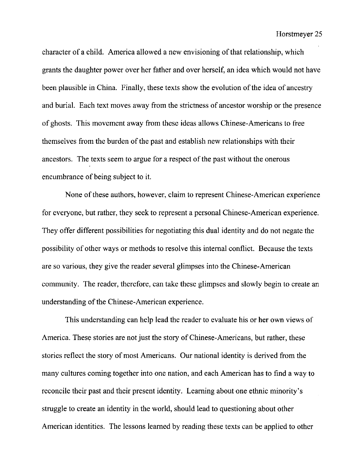character of a child. America allowed a new envisioning of that relationship, which grants the daughter power over her father and over herself, an idea which would not have been plausible in China. Finally, these texts show the evolution of the idea of ancestry and burial. Each text moves away from the strictness of ancestor worship or the presence of ghosts. This movement away from these ideas allows Chinese-Americans to free themselves from the burden of the past and establish new relationships with their ancestors. The texts seem to argue for a respect of the past without the onerous encumbrance of being subject to it.

None of these authors, however, claim to represent Chinese-American experience for everyone, but rather, they seek to represent a personal Chinese-American experience. They offer different possibilities for negotiating this dual identity and do not negate the possibility of other ways or methods to resolve this internal conflict. Because the texts are so various, they give the reader several glimpses into the Chinese-American community. The reader, therefore, can take these glimpses and slowly begin to create an understanding of the Chinese-American experience.

This understanding can help lead the reader to evaluate his or her own views of America. These stories are not just the story of Chinese-Americans, but rather, these stories reflect the story of most Americans. Our national identity is derived from the many cultures coming together into one nation, and each American has to find a way to reconcile their past and their present identity. Learning about one ethnic minority's struggle to create an identity in the world, should lead to questioning about other American identities. The lessons learned by reading these texts can be applied to other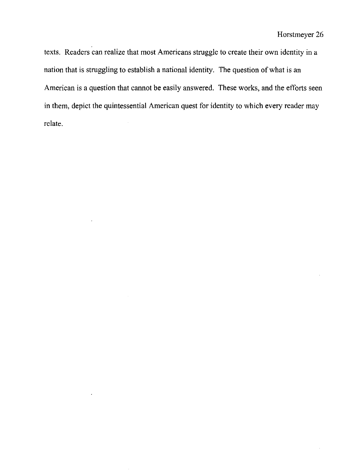texts. Readers can realize that most Americans struggle to create their own identity in a nation that is struggling to establish a national identity. The question of what is an American is a question that cannot be easily answered. These works, and the efforts seen in them, depict the quintessential American quest for identity to which every reader may relate.